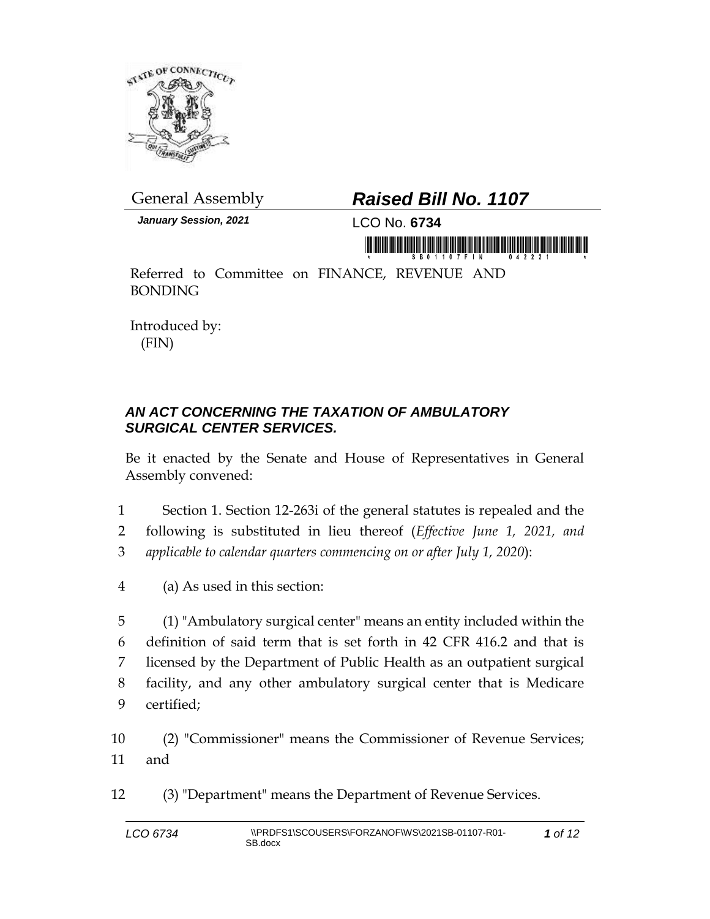

*January Session, 2021* LCO No. **6734**

## General Assembly *Raised Bill No. 1107*

in morning is in his initial and the initial mornin

Referred to Committee on FINANCE, REVENUE AND BONDING

Introduced by: (FIN)

## *AN ACT CONCERNING THE TAXATION OF AMBULATORY SURGICAL CENTER SERVICES.*

Be it enacted by the Senate and House of Representatives in General Assembly convened:

- 1 Section 1. Section 12-263i of the general statutes is repealed and the 2 following is substituted in lieu thereof (*Effective June 1, 2021, and*  3 *applicable to calendar quarters commencing on or after July 1, 2020*):
- 4 (a) As used in this section:

 (1) "Ambulatory surgical center" means an entity included within the definition of said term that is set forth in 42 CFR 416.2 and that is licensed by the Department of Public Health as an outpatient surgical facility, and any other ambulatory surgical center that is Medicare certified;

10 (2) "Commissioner" means the Commissioner of Revenue Services; 11 and

12 (3) "Department" means the Department of Revenue Services.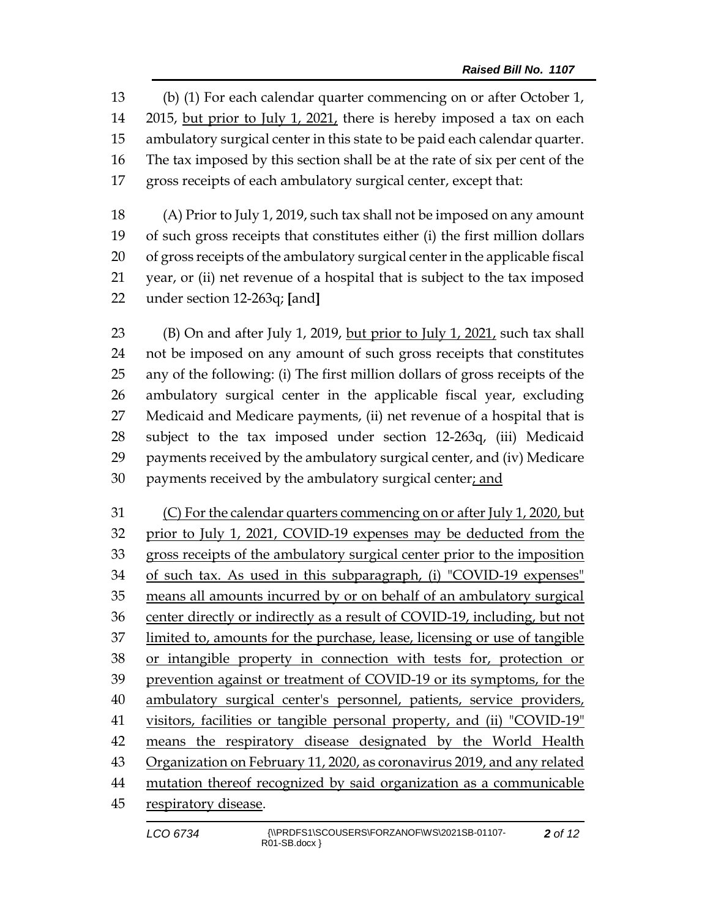(b) (1) For each calendar quarter commencing on or after October 1, 2015, but prior to July 1, 2021, there is hereby imposed a tax on each ambulatory surgical center in this state to be paid each calendar quarter. The tax imposed by this section shall be at the rate of six per cent of the gross receipts of each ambulatory surgical center, except that:

 (A) Prior to July 1, 2019, such tax shall not be imposed on any amount of such gross receipts that constitutes either (i) the first million dollars of gross receipts of the ambulatory surgical center in the applicable fiscal year, or (ii) net revenue of a hospital that is subject to the tax imposed under section 12-263q; **[**and**]**

 (B) On and after July 1, 2019, but prior to July 1, 2021, such tax shall not be imposed on any amount of such gross receipts that constitutes any of the following: (i) The first million dollars of gross receipts of the ambulatory surgical center in the applicable fiscal year, excluding Medicaid and Medicare payments, (ii) net revenue of a hospital that is subject to the tax imposed under section 12-263q, (iii) Medicaid payments received by the ambulatory surgical center, and (iv) Medicare payments received by the ambulatory surgical center; and

 (C) For the calendar quarters commencing on or after July 1, 2020, but prior to July 1, 2021, COVID-19 expenses may be deducted from the gross receipts of the ambulatory surgical center prior to the imposition of such tax. As used in this subparagraph, (i) "COVID-19 expenses" means all amounts incurred by or on behalf of an ambulatory surgical center directly or indirectly as a result of COVID-19, including, but not limited to, amounts for the purchase, lease, licensing or use of tangible or intangible property in connection with tests for, protection or prevention against or treatment of COVID-19 or its symptoms, for the ambulatory surgical center's personnel, patients, service providers, visitors, facilities or tangible personal property, and (ii) "COVID-19" means the respiratory disease designated by the World Health Organization on February 11, 2020, as coronavirus 2019, and any related 44 mutation thereof recognized by said organization as a communicable respiratory disease.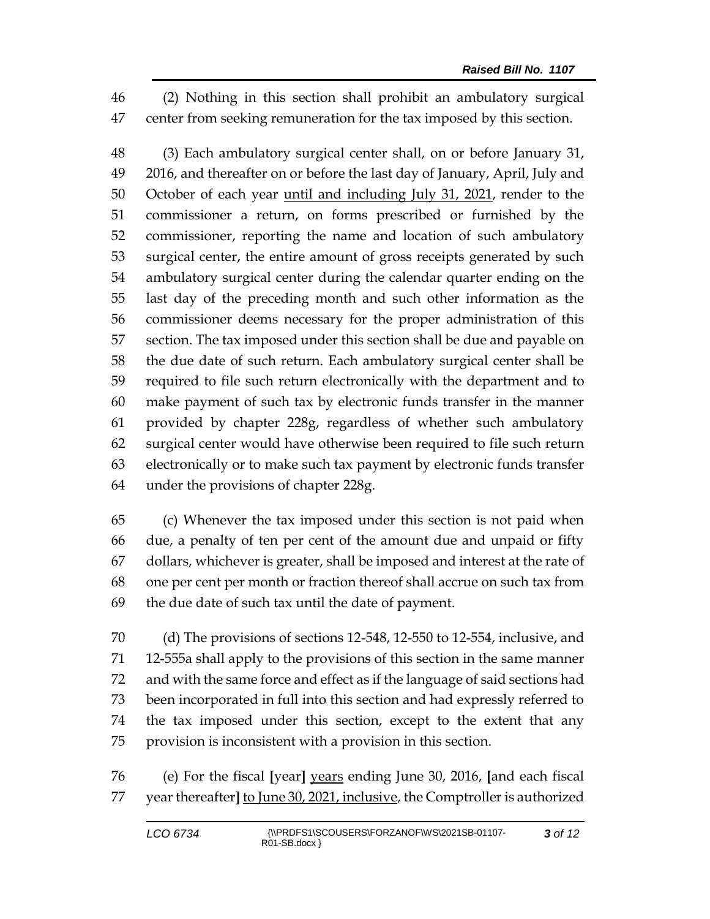(2) Nothing in this section shall prohibit an ambulatory surgical center from seeking remuneration for the tax imposed by this section.

 (3) Each ambulatory surgical center shall, on or before January 31, 2016, and thereafter on or before the last day of January, April, July and 50 October of each year until and including July 31, 2021, render to the commissioner a return, on forms prescribed or furnished by the commissioner, reporting the name and location of such ambulatory surgical center, the entire amount of gross receipts generated by such ambulatory surgical center during the calendar quarter ending on the last day of the preceding month and such other information as the commissioner deems necessary for the proper administration of this section. The tax imposed under this section shall be due and payable on the due date of such return. Each ambulatory surgical center shall be required to file such return electronically with the department and to make payment of such tax by electronic funds transfer in the manner provided by chapter 228g, regardless of whether such ambulatory surgical center would have otherwise been required to file such return electronically or to make such tax payment by electronic funds transfer under the provisions of chapter 228g.

 (c) Whenever the tax imposed under this section is not paid when due, a penalty of ten per cent of the amount due and unpaid or fifty dollars, whichever is greater, shall be imposed and interest at the rate of one per cent per month or fraction thereof shall accrue on such tax from the due date of such tax until the date of payment.

 (d) The provisions of sections 12-548, 12-550 to 12-554, inclusive, and 12-555a shall apply to the provisions of this section in the same manner and with the same force and effect as if the language of said sections had been incorporated in full into this section and had expressly referred to the tax imposed under this section, except to the extent that any provision is inconsistent with a provision in this section.

 (e) For the fiscal **[**year**]** years ending June 30, 2016, **[**and each fiscal year thereafter**]** to June 30, 2021, inclusive, the Comptroller is authorized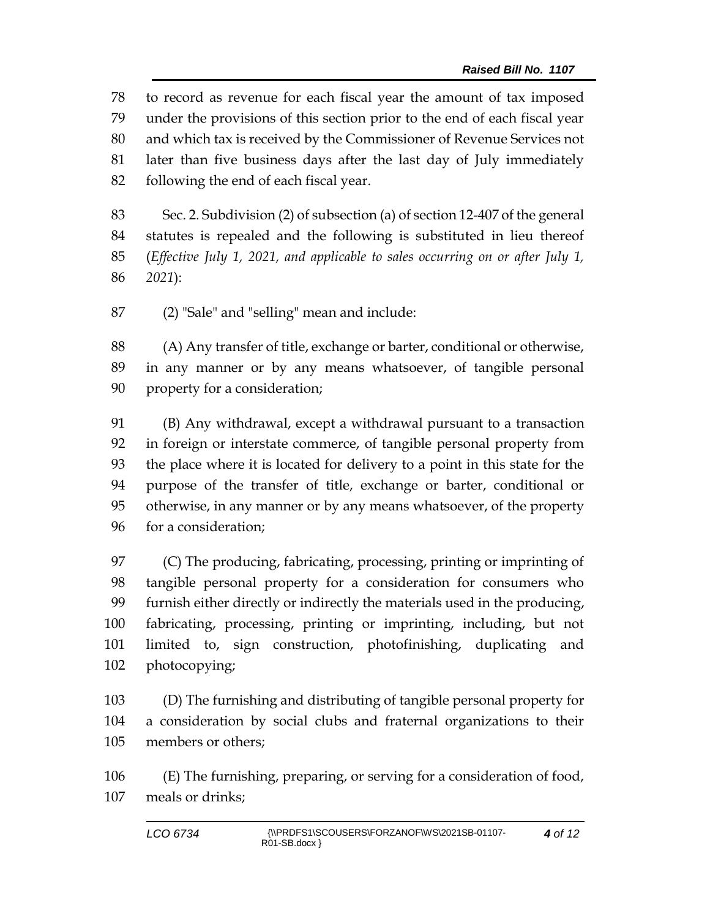to record as revenue for each fiscal year the amount of tax imposed under the provisions of this section prior to the end of each fiscal year and which tax is received by the Commissioner of Revenue Services not later than five business days after the last day of July immediately following the end of each fiscal year.

 Sec. 2. Subdivision (2) of subsection (a) of section 12-407 of the general statutes is repealed and the following is substituted in lieu thereof (*Effective July 1, 2021, and applicable to sales occurring on or after July 1, 2021*):

(2) "Sale" and "selling" mean and include:

 (A) Any transfer of title, exchange or barter, conditional or otherwise, in any manner or by any means whatsoever, of tangible personal property for a consideration;

 (B) Any withdrawal, except a withdrawal pursuant to a transaction in foreign or interstate commerce, of tangible personal property from the place where it is located for delivery to a point in this state for the purpose of the transfer of title, exchange or barter, conditional or otherwise, in any manner or by any means whatsoever, of the property for a consideration;

 (C) The producing, fabricating, processing, printing or imprinting of tangible personal property for a consideration for consumers who furnish either directly or indirectly the materials used in the producing, fabricating, processing, printing or imprinting, including, but not limited to, sign construction, photofinishing, duplicating and photocopying;

 (D) The furnishing and distributing of tangible personal property for a consideration by social clubs and fraternal organizations to their members or others;

 (E) The furnishing, preparing, or serving for a consideration of food, meals or drinks;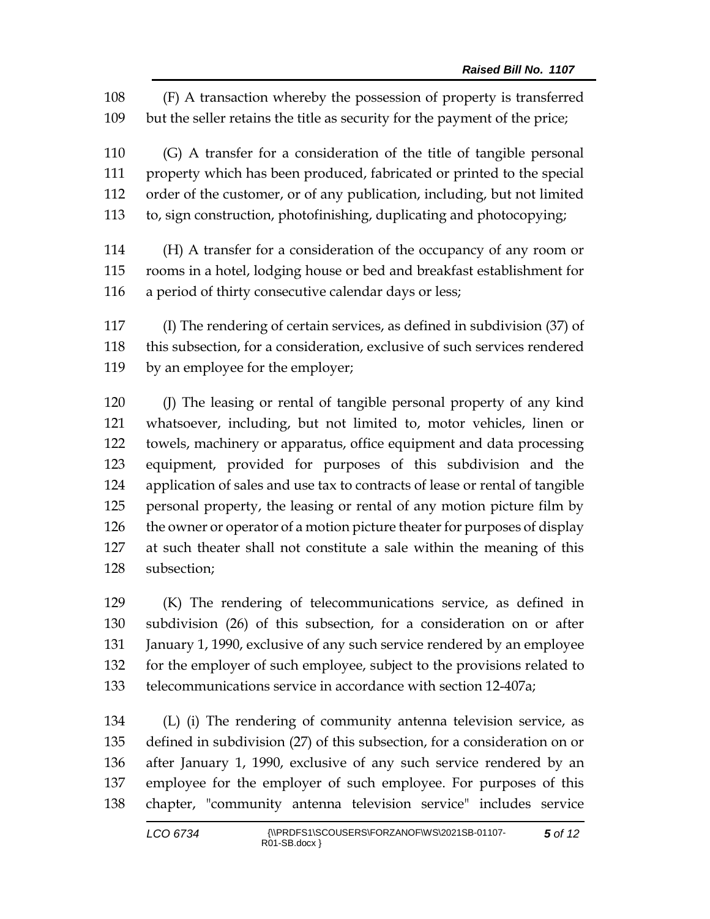(F) A transaction whereby the possession of property is transferred but the seller retains the title as security for the payment of the price;

 (G) A transfer for a consideration of the title of tangible personal property which has been produced, fabricated or printed to the special order of the customer, or of any publication, including, but not limited to, sign construction, photofinishing, duplicating and photocopying;

 (H) A transfer for a consideration of the occupancy of any room or rooms in a hotel, lodging house or bed and breakfast establishment for a period of thirty consecutive calendar days or less;

 (I) The rendering of certain services, as defined in subdivision (37) of this subsection, for a consideration, exclusive of such services rendered by an employee for the employer;

 (J) The leasing or rental of tangible personal property of any kind whatsoever, including, but not limited to, motor vehicles, linen or towels, machinery or apparatus, office equipment and data processing equipment, provided for purposes of this subdivision and the application of sales and use tax to contracts of lease or rental of tangible personal property, the leasing or rental of any motion picture film by 126 the owner or operator of a motion picture theater for purposes of display at such theater shall not constitute a sale within the meaning of this subsection;

 (K) The rendering of telecommunications service, as defined in subdivision (26) of this subsection, for a consideration on or after 131 January 1, 1990, exclusive of any such service rendered by an employee for the employer of such employee, subject to the provisions related to telecommunications service in accordance with section 12-407a;

 (L) (i) The rendering of community antenna television service, as defined in subdivision (27) of this subsection, for a consideration on or after January 1, 1990, exclusive of any such service rendered by an employee for the employer of such employee. For purposes of this chapter, "community antenna television service" includes service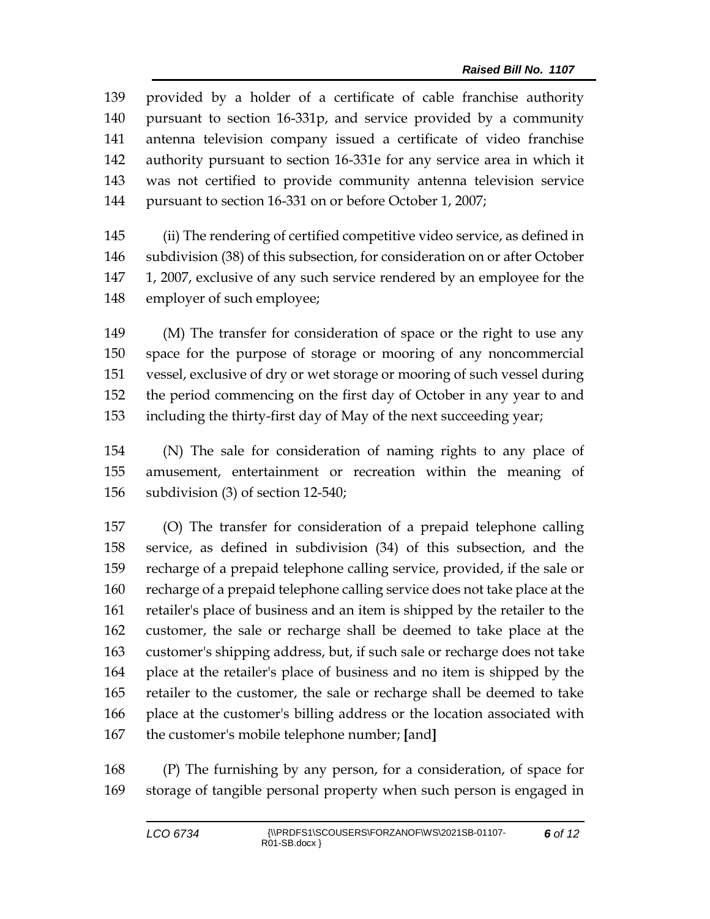provided by a holder of a certificate of cable franchise authority pursuant to section 16-331p, and service provided by a community antenna television company issued a certificate of video franchise authority pursuant to section 16-331e for any service area in which it was not certified to provide community antenna television service pursuant to section 16-331 on or before October 1, 2007;

 (ii) The rendering of certified competitive video service, as defined in subdivision (38) of this subsection, for consideration on or after October 1, 2007, exclusive of any such service rendered by an employee for the employer of such employee;

 (M) The transfer for consideration of space or the right to use any space for the purpose of storage or mooring of any noncommercial vessel, exclusive of dry or wet storage or mooring of such vessel during the period commencing on the first day of October in any year to and including the thirty-first day of May of the next succeeding year;

 (N) The sale for consideration of naming rights to any place of amusement, entertainment or recreation within the meaning of subdivision (3) of section 12-540;

 (O) The transfer for consideration of a prepaid telephone calling service, as defined in subdivision (34) of this subsection, and the recharge of a prepaid telephone calling service, provided, if the sale or recharge of a prepaid telephone calling service does not take place at the retailer's place of business and an item is shipped by the retailer to the customer, the sale or recharge shall be deemed to take place at the customer's shipping address, but, if such sale or recharge does not take place at the retailer's place of business and no item is shipped by the retailer to the customer, the sale or recharge shall be deemed to take place at the customer's billing address or the location associated with the customer's mobile telephone number; **[**and**]**

 (P) The furnishing by any person, for a consideration, of space for storage of tangible personal property when such person is engaged in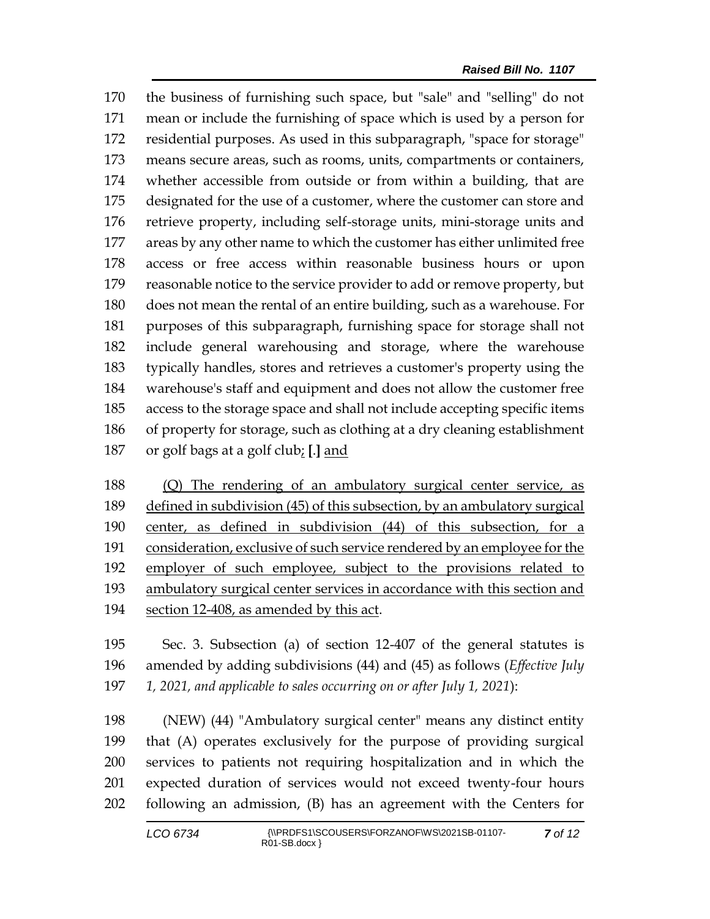the business of furnishing such space, but "sale" and "selling" do not mean or include the furnishing of space which is used by a person for residential purposes. As used in this subparagraph, "space for storage" means secure areas, such as rooms, units, compartments or containers, whether accessible from outside or from within a building, that are designated for the use of a customer, where the customer can store and retrieve property, including self-storage units, mini-storage units and areas by any other name to which the customer has either unlimited free access or free access within reasonable business hours or upon reasonable notice to the service provider to add or remove property, but does not mean the rental of an entire building, such as a warehouse. For purposes of this subparagraph, furnishing space for storage shall not include general warehousing and storage, where the warehouse typically handles, stores and retrieves a customer's property using the warehouse's staff and equipment and does not allow the customer free access to the storage space and shall not include accepting specific items of property for storage, such as clothing at a dry cleaning establishment or golf bags at a golf club; **[**.**]** and

 (Q) The rendering of an ambulatory surgical center service, as defined in subdivision (45) of this subsection, by an ambulatory surgical center, as defined in subdivision (44) of this subsection, for a consideration, exclusive of such service rendered by an employee for the employer of such employee, subject to the provisions related to 193 ambulatory surgical center services in accordance with this section and section 12-408, as amended by this act.

 Sec. 3. Subsection (a) of section 12-407 of the general statutes is amended by adding subdivisions (44) and (45) as follows (*Effective July 1, 2021, and applicable to sales occurring on or after July 1, 2021*):

 (NEW) (44) "Ambulatory surgical center" means any distinct entity that (A) operates exclusively for the purpose of providing surgical services to patients not requiring hospitalization and in which the expected duration of services would not exceed twenty-four hours following an admission, (B) has an agreement with the Centers for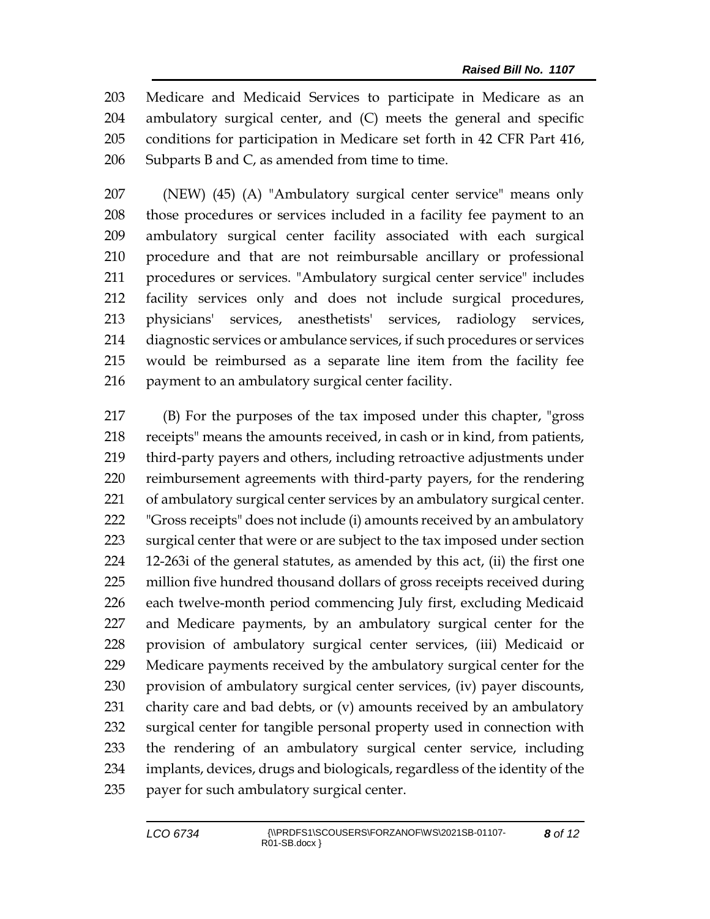Medicare and Medicaid Services to participate in Medicare as an ambulatory surgical center, and (C) meets the general and specific conditions for participation in Medicare set forth in 42 CFR Part 416, 206 Subparts B and C, as amended from time to time.

 (NEW) (45) (A) "Ambulatory surgical center service" means only those procedures or services included in a facility fee payment to an ambulatory surgical center facility associated with each surgical procedure and that are not reimbursable ancillary or professional procedures or services. "Ambulatory surgical center service" includes facility services only and does not include surgical procedures, physicians' services, anesthetists' services, radiology services, diagnostic services or ambulance services, if such procedures or services would be reimbursed as a separate line item from the facility fee payment to an ambulatory surgical center facility.

 (B) For the purposes of the tax imposed under this chapter, "gross receipts" means the amounts received, in cash or in kind, from patients, third-party payers and others, including retroactive adjustments under reimbursement agreements with third-party payers, for the rendering of ambulatory surgical center services by an ambulatory surgical center. "Gross receipts" does not include (i) amounts received by an ambulatory surgical center that were or are subject to the tax imposed under section 12-263i of the general statutes, as amended by this act, (ii) the first one million five hundred thousand dollars of gross receipts received during each twelve-month period commencing July first, excluding Medicaid and Medicare payments, by an ambulatory surgical center for the provision of ambulatory surgical center services, (iii) Medicaid or Medicare payments received by the ambulatory surgical center for the provision of ambulatory surgical center services, (iv) payer discounts, charity care and bad debts, or (v) amounts received by an ambulatory surgical center for tangible personal property used in connection with the rendering of an ambulatory surgical center service, including implants, devices, drugs and biologicals, regardless of the identity of the payer for such ambulatory surgical center.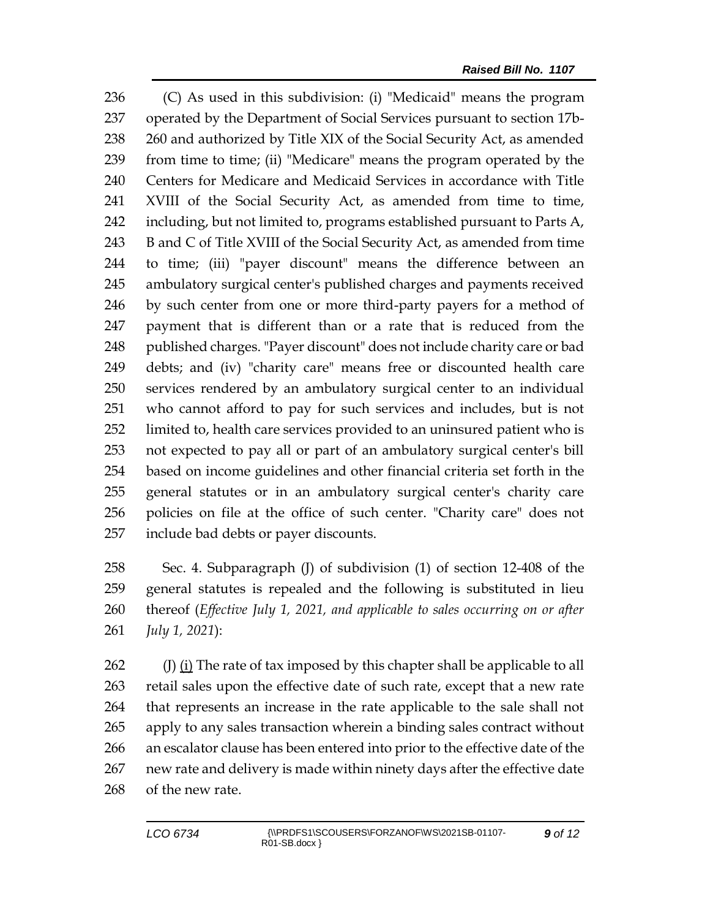(C) As used in this subdivision: (i) "Medicaid" means the program operated by the Department of Social Services pursuant to section 17b- 260 and authorized by Title XIX of the Social Security Act, as amended from time to time; (ii) "Medicare" means the program operated by the Centers for Medicare and Medicaid Services in accordance with Title XVIII of the Social Security Act, as amended from time to time, including, but not limited to, programs established pursuant to Parts A, 243 B and C of Title XVIII of the Social Security Act, as amended from time to time; (iii) "payer discount" means the difference between an ambulatory surgical center's published charges and payments received by such center from one or more third-party payers for a method of payment that is different than or a rate that is reduced from the 248 published charges. "Payer discount" does not include charity care or bad debts; and (iv) "charity care" means free or discounted health care services rendered by an ambulatory surgical center to an individual who cannot afford to pay for such services and includes, but is not limited to, health care services provided to an uninsured patient who is not expected to pay all or part of an ambulatory surgical center's bill based on income guidelines and other financial criteria set forth in the general statutes or in an ambulatory surgical center's charity care policies on file at the office of such center. "Charity care" does not include bad debts or payer discounts.

 Sec. 4. Subparagraph (J) of subdivision (1) of section 12-408 of the general statutes is repealed and the following is substituted in lieu thereof (*Effective July 1, 2021, and applicable to sales occurring on or after July 1, 2021*):

262 (J) (i) The rate of tax imposed by this chapter shall be applicable to all retail sales upon the effective date of such rate, except that a new rate that represents an increase in the rate applicable to the sale shall not apply to any sales transaction wherein a binding sales contract without an escalator clause has been entered into prior to the effective date of the new rate and delivery is made within ninety days after the effective date of the new rate.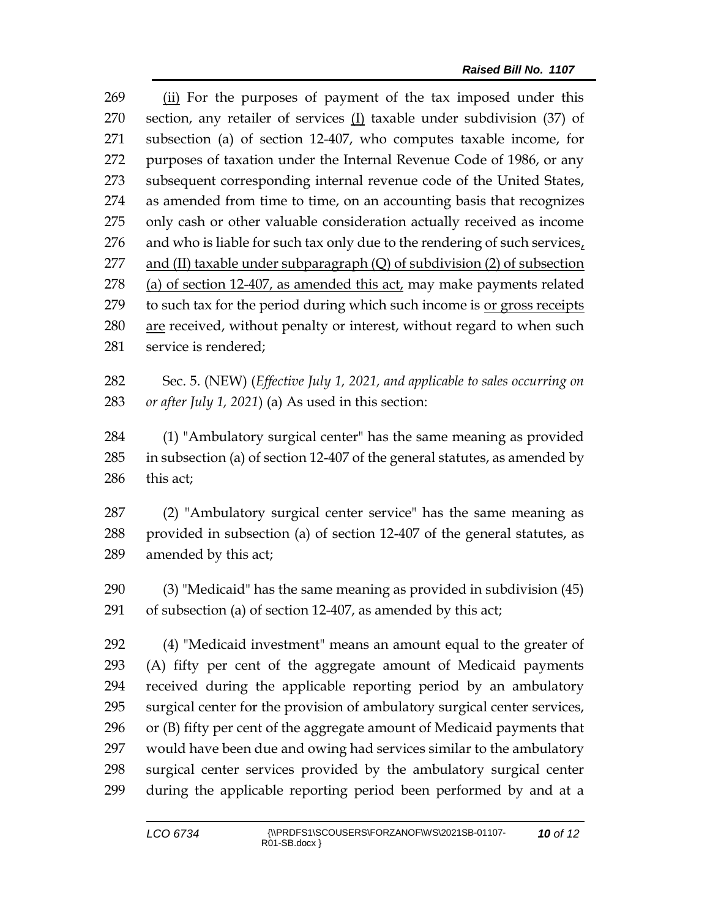(ii) For the purposes of payment of the tax imposed under this section, any retailer of services (I) taxable under subdivision (37) of subsection (a) of section 12-407, who computes taxable income, for purposes of taxation under the Internal Revenue Code of 1986, or any subsequent corresponding internal revenue code of the United States, as amended from time to time, on an accounting basis that recognizes only cash or other valuable consideration actually received as income and who is liable for such tax only due to the rendering of such services, 277 and (II) taxable under subparagraph  $(Q)$  of subdivision  $(2)$  of subsection 278 (a) of section 12-407, as amended this act, may make payments related 279 to such tax for the period during which such income is or gross receipts are received, without penalty or interest, without regard to when such service is rendered;

 Sec. 5. (NEW) (*Effective July 1, 2021, and applicable to sales occurring on or after July 1, 2021*) (a) As used in this section:

 (1) "Ambulatory surgical center" has the same meaning as provided in subsection (a) of section 12-407 of the general statutes, as amended by this act;

 (2) "Ambulatory surgical center service" has the same meaning as provided in subsection (a) of section 12-407 of the general statutes, as amended by this act;

 (3) "Medicaid" has the same meaning as provided in subdivision (45) of subsection (a) of section 12-407, as amended by this act;

 (4) "Medicaid investment" means an amount equal to the greater of (A) fifty per cent of the aggregate amount of Medicaid payments received during the applicable reporting period by an ambulatory surgical center for the provision of ambulatory surgical center services, or (B) fifty per cent of the aggregate amount of Medicaid payments that would have been due and owing had services similar to the ambulatory surgical center services provided by the ambulatory surgical center during the applicable reporting period been performed by and at a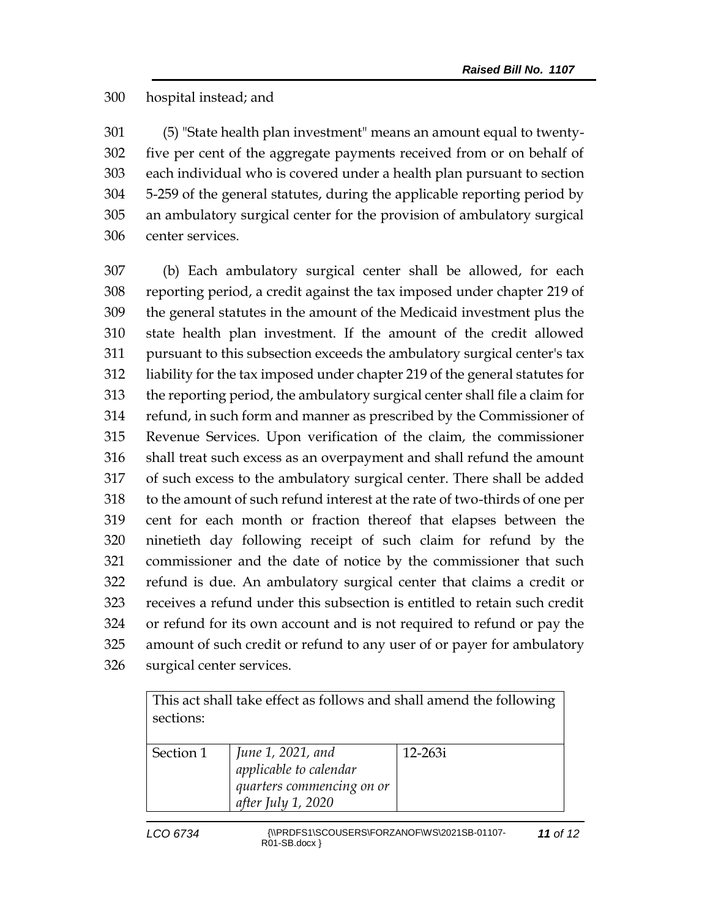## hospital instead; and

 (5) "State health plan investment" means an amount equal to twenty- five per cent of the aggregate payments received from or on behalf of each individual who is covered under a health plan pursuant to section 5-259 of the general statutes, during the applicable reporting period by an ambulatory surgical center for the provision of ambulatory surgical center services.

 (b) Each ambulatory surgical center shall be allowed, for each reporting period, a credit against the tax imposed under chapter 219 of the general statutes in the amount of the Medicaid investment plus the state health plan investment. If the amount of the credit allowed pursuant to this subsection exceeds the ambulatory surgical center's tax liability for the tax imposed under chapter 219 of the general statutes for the reporting period, the ambulatory surgical center shall file a claim for refund, in such form and manner as prescribed by the Commissioner of Revenue Services. Upon verification of the claim, the commissioner shall treat such excess as an overpayment and shall refund the amount of such excess to the ambulatory surgical center. There shall be added to the amount of such refund interest at the rate of two-thirds of one per cent for each month or fraction thereof that elapses between the ninetieth day following receipt of such claim for refund by the commissioner and the date of notice by the commissioner that such refund is due. An ambulatory surgical center that claims a credit or receives a refund under this subsection is entitled to retain such credit or refund for its own account and is not required to refund or pay the amount of such credit or refund to any user of or payer for ambulatory surgical center services.

| This act shall take effect as follows and shall amend the following |                                             |             |  |
|---------------------------------------------------------------------|---------------------------------------------|-------------|--|
| sections:                                                           |                                             |             |  |
|                                                                     |                                             |             |  |
| Section 1                                                           | June 1, 2021, and<br>applicable to calendar | $12 - 263i$ |  |
|                                                                     |                                             |             |  |
|                                                                     | quarters commencing on or                   |             |  |
|                                                                     | after July 1, 2020                          |             |  |